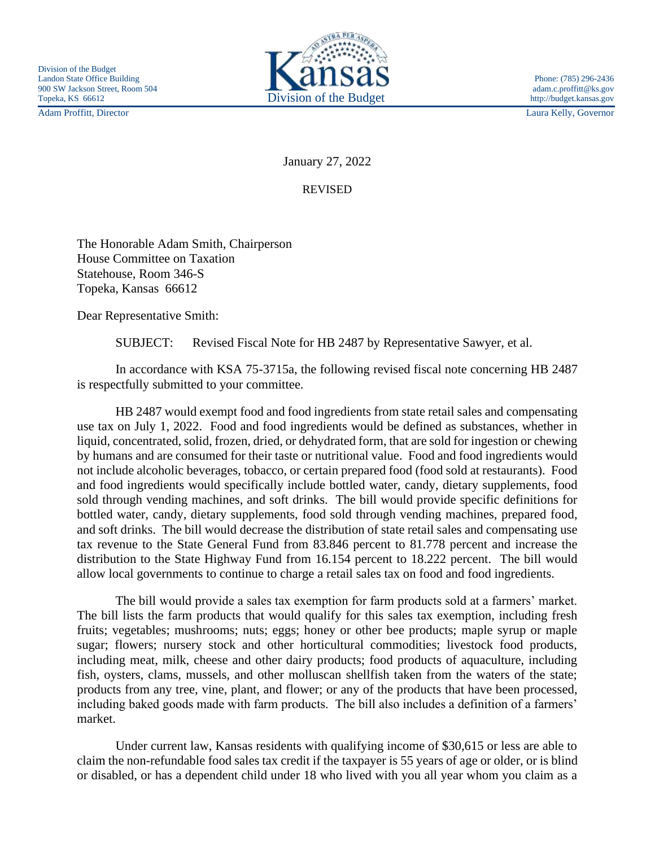Adam Proffitt, Director Laura Kelly, Governor



January 27, 2022

REVISED

The Honorable Adam Smith, Chairperson House Committee on Taxation Statehouse, Room 346-S Topeka, Kansas 66612

Dear Representative Smith:

SUBJECT: Revised Fiscal Note for HB 2487 by Representative Sawyer, et al.

In accordance with KSA 75-3715a, the following revised fiscal note concerning HB 2487 is respectfully submitted to your committee.

HB 2487 would exempt food and food ingredients from state retail sales and compensating use tax on July 1, 2022. Food and food ingredients would be defined as substances, whether in liquid, concentrated, solid, frozen, dried, or dehydrated form, that are sold for ingestion or chewing by humans and are consumed for their taste or nutritional value. Food and food ingredients would not include alcoholic beverages, tobacco, or certain prepared food (food sold at restaurants). Food and food ingredients would specifically include bottled water, candy, dietary supplements, food sold through vending machines, and soft drinks. The bill would provide specific definitions for bottled water, candy, dietary supplements, food sold through vending machines, prepared food, and soft drinks. The bill would decrease the distribution of state retail sales and compensating use tax revenue to the State General Fund from 83.846 percent to 81.778 percent and increase the distribution to the State Highway Fund from 16.154 percent to 18.222 percent. The bill would allow local governments to continue to charge a retail sales tax on food and food ingredients.

The bill would provide a sales tax exemption for farm products sold at a farmers' market. The bill lists the farm products that would qualify for this sales tax exemption, including fresh fruits; vegetables; mushrooms; nuts; eggs; honey or other bee products; maple syrup or maple sugar; flowers; nursery stock and other horticultural commodities; livestock food products, including meat, milk, cheese and other dairy products; food products of aquaculture, including fish, oysters, clams, mussels, and other molluscan shellfish taken from the waters of the state; products from any tree, vine, plant, and flower; or any of the products that have been processed, including baked goods made with farm products. The bill also includes a definition of a farmers' market.

Under current law, Kansas residents with qualifying income of \$30,615 or less are able to claim the non-refundable food sales tax credit if the taxpayer is 55 years of age or older, or is blind or disabled, or has a dependent child under 18 who lived with you all year whom you claim as a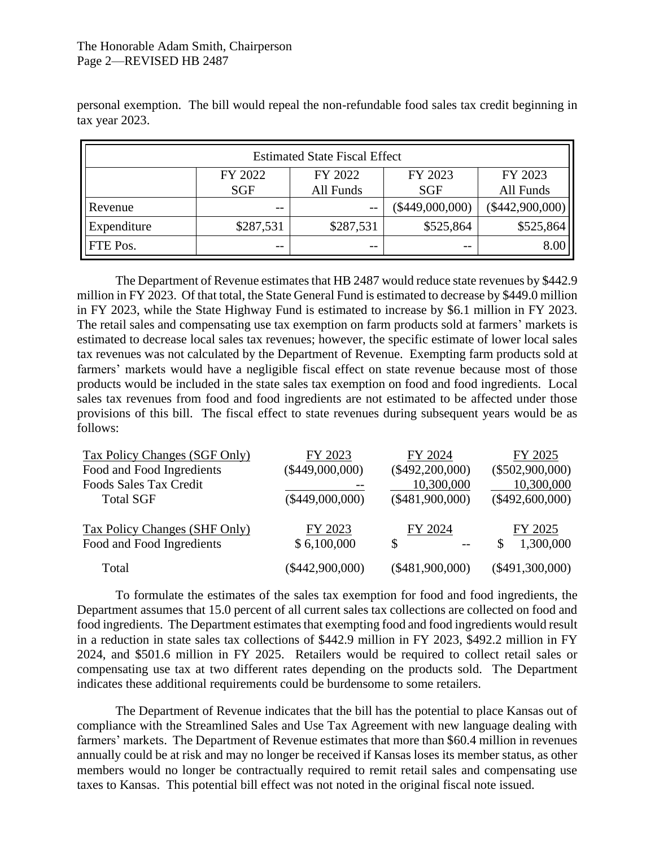## The Honorable Adam Smith, Chairperson Page 2—REVISED HB 2487

 $\mathbf{r}$ 

| <b>Estimated State Fiscal Effect</b> |                       |                      |                       |                      |  |
|--------------------------------------|-----------------------|----------------------|-----------------------|----------------------|--|
|                                      | FY 2022<br><b>SGF</b> | FY 2022<br>All Funds | FY 2023<br><b>SGF</b> | FY 2023<br>All Funds |  |
| Revenue                              | $- -$                 | $-$                  | $(\$449,000,000)$     | $(\$442,900,000)$    |  |
| Expenditure                          | \$287,531             | \$287,531            | \$525,864             | \$525,864            |  |
| FTE Pos.                             | $- -$                 | $- -$                | $ -$                  | 8.00                 |  |

personal exemption. The bill would repeal the non-refundable food sales tax credit beginning in tax year 2023.

The Department of Revenue estimates that HB 2487 would reduce state revenues by \$442.9 million in FY 2023. Of that total, the State General Fund is estimated to decrease by \$449.0 million in FY 2023, while the State Highway Fund is estimated to increase by \$6.1 million in FY 2023. The retail sales and compensating use tax exemption on farm products sold at farmers' markets is estimated to decrease local sales tax revenues; however, the specific estimate of lower local sales tax revenues was not calculated by the Department of Revenue. Exempting farm products sold at farmers' markets would have a negligible fiscal effect on state revenue because most of those products would be included in the state sales tax exemption on food and food ingredients. Local sales tax revenues from food and food ingredients are not estimated to be affected under those provisions of this bill. The fiscal effect to state revenues during subsequent years would be as follows:

| Tax Policy Changes (SGF Only) | FY 2023           | FY 2024           | FY 2025           |
|-------------------------------|-------------------|-------------------|-------------------|
| Food and Food Ingredients     | $(\$449,000,000)$ | $(\$492,200,000)$ | $(\$502,900,000)$ |
| Foods Sales Tax Credit        |                   | 10,300,000        | 10,300,000        |
| <b>Total SGF</b>              | $(\$449,000,000)$ | $(\$481,900,000)$ | $(\$492,600,000)$ |
| Tax Policy Changes (SHF Only) | FY 2023           | FY 2024           | FY 2025           |
| Food and Food Ingredients     | \$6,100,000       | S                 | 1,300,000<br>S    |
| Total                         | $(\$442,900,000)$ | $(\$481,900,000)$ | $(\$491,300,000)$ |

To formulate the estimates of the sales tax exemption for food and food ingredients, the Department assumes that 15.0 percent of all current sales tax collections are collected on food and food ingredients. The Department estimates that exempting food and food ingredients would result in a reduction in state sales tax collections of \$442.9 million in FY 2023, \$492.2 million in FY 2024, and \$501.6 million in FY 2025. Retailers would be required to collect retail sales or compensating use tax at two different rates depending on the products sold. The Department indicates these additional requirements could be burdensome to some retailers.

The Department of Revenue indicates that the bill has the potential to place Kansas out of compliance with the Streamlined Sales and Use Tax Agreement with new language dealing with farmers' markets. The Department of Revenue estimates that more than \$60.4 million in revenues annually could be at risk and may no longer be received if Kansas loses its member status, as other members would no longer be contractually required to remit retail sales and compensating use taxes to Kansas. This potential bill effect was not noted in the original fiscal note issued.